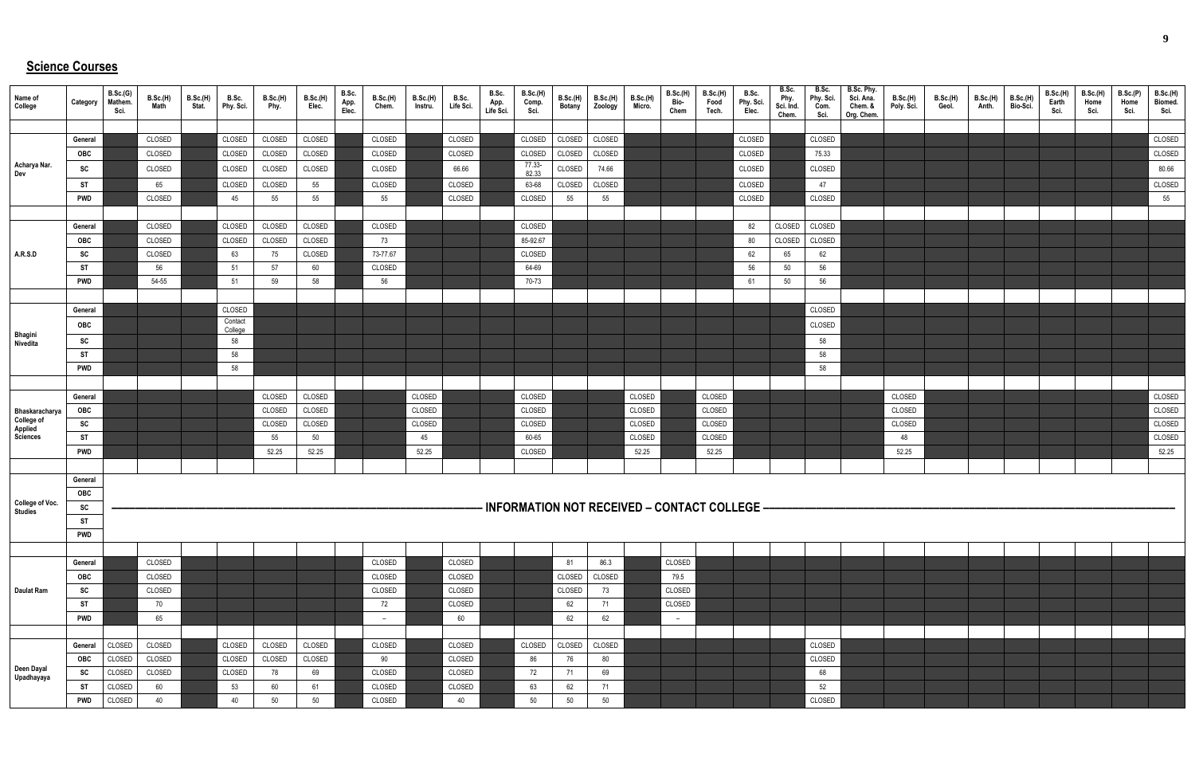## **Science Courses**

| Name of<br>College                         | Category   | B.Sc.(G)<br>Mathem.<br>Sci. | B.Sc.(H)<br>Math | B.Sc.(H)<br>Stat. | B.Sc.<br>Phy. Sci. | <b>B.Sc.(H)</b><br>Phy. | B.Sc.(H)<br>Elec. | B.Sc.<br>App.<br>Elec. | <b>B.Sc.(H)</b><br>Chem. | B.Sc.(H)<br>Instru. | B.Sc.<br>Life Sci. | B.Sc.<br>App.<br>Life Sci. | <b>B.Sc.(H)</b><br>Comp. | B.Sc.(H)<br><b>Botany</b> | B.Sc.(H)<br>Zoology | <b>B.Sc.(H)</b><br>Micro. | B.Sc.(H)<br>Bio-<br>Chem | <b>B.Sc.(H)</b><br>Food<br>Tech. | B.Sc.<br>Phy. Sci.<br>Elec.                       | B.Sc.<br>Phy.<br>Sci. Ind.<br>Chem. | B.Sc.<br>Phy. Sci.<br>Com.<br>Sci. | B.Sc. Phy.<br>Sci. Ana.<br>Chem. &<br>Org. Chem. | <b>B.Sc.(H)</b><br>Poly. Sci. | B.Sc.(H)<br>Geol. | B.Sc.(H)<br>Anth. | B.Sc.(H)<br>Bio-Sci. | B.Sc.(H)<br>Earth<br>Sci. | B.Sc.(H)<br>Home<br>Sci. | B.Sc.(P)<br>Home<br>Sci. | <b>B.Sc.(H)</b><br>Biomed.<br>Sci. |
|--------------------------------------------|------------|-----------------------------|------------------|-------------------|--------------------|-------------------------|-------------------|------------------------|--------------------------|---------------------|--------------------|----------------------------|--------------------------|---------------------------|---------------------|---------------------------|--------------------------|----------------------------------|---------------------------------------------------|-------------------------------------|------------------------------------|--------------------------------------------------|-------------------------------|-------------------|-------------------|----------------------|---------------------------|--------------------------|--------------------------|------------------------------------|
|                                            |            |                             |                  |                   |                    |                         |                   |                        |                          |                     |                    |                            |                          |                           |                     |                           |                          |                                  |                                                   |                                     |                                    |                                                  |                               |                   |                   |                      |                           |                          |                          |                                    |
|                                            | General    |                             | CLOSED           |                   | CLOSED             | CLOSED                  | CLOSED            |                        | CLOSED                   |                     | CLOSED             |                            | CLOSED                   | CLOSED                    | CLOSED              |                           |                          |                                  | CLOSED                                            |                                     | CLOSED                             |                                                  |                               |                   |                   |                      |                           |                          |                          | CLOSED                             |
|                                            | OBC        |                             | CLOSED           |                   | CLOSED             | CLOSED                  | CLOSED            |                        | CLOSED                   |                     | CLOSED             |                            | CLOSED                   | CLOSED                    | CLOSED              |                           |                          |                                  | CLOSED                                            |                                     | 75.33                              |                                                  |                               |                   |                   |                      |                           |                          |                          | CLOSED                             |
| Acharya Nar.<br>Dev                        | SC         |                             | CLOSED           |                   | CLOSED             | CLOSED                  | CLOSED            |                        | CLOSED                   |                     | 66.66              |                            | 77.33-<br>82.33          | CLOSED                    | 74.66               |                           |                          |                                  | CLOSED                                            |                                     | CLOSED                             |                                                  |                               |                   |                   |                      |                           |                          |                          | 80.66                              |
|                                            | <b>ST</b>  |                             | 65               |                   | CLOSED             | CLOSED                  | 55                |                        | CLOSED                   |                     | CLOSED             |                            | 63-68                    | CLOSED                    | CLOSED              |                           |                          |                                  | CLOSED                                            |                                     | 47                                 |                                                  |                               |                   |                   |                      |                           |                          |                          | CLOSED                             |
|                                            | <b>PWD</b> |                             | CLOSED           |                   | 45                 | 55                      | 55                |                        | 55                       |                     | CLOSED             |                            | CLOSED                   | 55                        | 55                  |                           |                          |                                  | CLOSED                                            |                                     | CLOSED                             |                                                  |                               |                   |                   |                      |                           |                          |                          | 55                                 |
|                                            |            |                             |                  |                   |                    |                         |                   |                        |                          |                     |                    |                            |                          |                           |                     |                           |                          |                                  |                                                   |                                     |                                    |                                                  |                               |                   |                   |                      |                           |                          |                          |                                    |
|                                            | General    |                             | CLOSED           |                   | CLOSED             | CLOSED                  | CLOSED            |                        | CLOSED                   |                     |                    |                            | CLOSED                   |                           |                     |                           |                          |                                  | 82                                                | CLOSED                              | CLOSED                             |                                                  |                               |                   |                   |                      |                           |                          |                          |                                    |
|                                            | OBC        |                             | CLOSED           |                   | CLOSED             | CLOSED                  | CLOSED            |                        | 73                       |                     |                    |                            | 85-92.67                 |                           |                     |                           |                          |                                  | 80                                                | CLOSED                              | CLOSED                             |                                                  |                               |                   |                   |                      |                           |                          |                          |                                    |
| A.R.S.D                                    | SC         |                             | CLOSED           |                   | 63                 | 75                      | CLOSED            |                        | 73-77.67                 |                     |                    |                            | CLOSED                   |                           |                     |                           |                          |                                  | 62                                                | 65                                  | 62                                 |                                                  |                               |                   |                   |                      |                           |                          |                          |                                    |
|                                            | ST         |                             | 56               |                   | 51                 | 57                      | 60                |                        | CLOSED                   |                     |                    |                            | 64-69                    |                           |                     |                           |                          |                                  | 56                                                | 50                                  | 56                                 |                                                  |                               |                   |                   |                      |                           |                          |                          |                                    |
|                                            | <b>PWD</b> |                             | 54-55            |                   | 51                 | 59                      | 58                |                        | 56                       |                     |                    |                            | 70-73                    |                           |                     |                           |                          |                                  | 61                                                | 50                                  | 56                                 |                                                  |                               |                   |                   |                      |                           |                          |                          |                                    |
|                                            |            |                             |                  |                   |                    |                         |                   |                        |                          |                     |                    |                            |                          |                           |                     |                           |                          |                                  |                                                   |                                     |                                    |                                                  |                               |                   |                   |                      |                           |                          |                          |                                    |
|                                            | General    |                             |                  |                   | CLOSED             |                         |                   |                        |                          |                     |                    |                            |                          |                           |                     |                           |                          |                                  |                                                   |                                     | CLOSED                             |                                                  |                               |                   |                   |                      |                           |                          |                          |                                    |
|                                            | OBC        |                             |                  |                   | Contact            |                         |                   |                        |                          |                     |                    |                            |                          |                           |                     |                           |                          |                                  |                                                   |                                     | CLOSED                             |                                                  |                               |                   |                   |                      |                           |                          |                          |                                    |
| <b>Bhagini</b><br>Nivedita                 | SC         |                             |                  |                   | College<br>58      |                         |                   |                        |                          |                     |                    |                            |                          |                           |                     |                           |                          |                                  |                                                   |                                     | 58                                 |                                                  |                               |                   |                   |                      |                           |                          |                          |                                    |
|                                            | <b>ST</b>  |                             |                  |                   | 58                 |                         |                   |                        |                          |                     |                    |                            |                          |                           |                     |                           |                          |                                  |                                                   |                                     | 58                                 |                                                  |                               |                   |                   |                      |                           |                          |                          |                                    |
|                                            | <b>PWD</b> |                             |                  |                   | 58                 |                         |                   |                        |                          |                     |                    |                            |                          |                           |                     |                           |                          |                                  |                                                   |                                     | 58                                 |                                                  |                               |                   |                   |                      |                           |                          |                          |                                    |
|                                            |            |                             |                  |                   |                    |                         |                   |                        |                          |                     |                    |                            |                          |                           |                     |                           |                          |                                  |                                                   |                                     |                                    |                                                  |                               |                   |                   |                      |                           |                          |                          |                                    |
|                                            | General    |                             |                  |                   |                    | CLOSED                  | CLOSED            |                        |                          | CLOSED              |                    |                            | CLOSED                   |                           |                     | CLOSED                    |                          | CLOSED                           |                                                   |                                     |                                    |                                                  | CLOSED                        |                   |                   |                      |                           |                          |                          | CLOSED                             |
| Bhaskaracharya                             | OBC        |                             |                  |                   |                    | CLOSED                  | CLOSED            |                        |                          | CLOSED              |                    |                            | CLOSED                   |                           |                     | CLOSED                    |                          | CLOSED                           |                                                   |                                     |                                    |                                                  | CLOSED                        |                   |                   |                      |                           |                          |                          | CLOSED                             |
| <b>College of<br/>Applied<br/>Sciences</b> | SC         |                             |                  |                   |                    | CLOSED                  | CLOSED            |                        |                          | CLOSED              |                    |                            | CLOSED                   |                           |                     | CLOSED                    |                          | CLOSED                           |                                                   |                                     |                                    |                                                  | CLOSED                        |                   |                   |                      |                           |                          |                          | CLOSED                             |
|                                            | <b>ST</b>  |                             |                  |                   |                    | 55                      | 50                |                        |                          | 45                  |                    |                            | 60-65                    |                           |                     | CLOSED                    |                          | CLOSED                           |                                                   |                                     |                                    |                                                  | 48                            |                   |                   |                      |                           |                          |                          | CLOSED                             |
|                                            | <b>PWD</b> |                             |                  |                   |                    | 52.25                   | 52.25             |                        |                          | 52.25               |                    |                            | CLOSED                   |                           |                     | 52.25                     |                          | 52.25                            |                                                   |                                     |                                    |                                                  | 52.25                         |                   |                   |                      |                           |                          |                          | 52.25                              |
|                                            |            |                             |                  |                   |                    |                         |                   |                        |                          |                     |                    |                            |                          |                           |                     |                           |                          |                                  |                                                   |                                     |                                    |                                                  |                               |                   |                   |                      |                           |                          |                          |                                    |
|                                            | General    |                             |                  |                   |                    |                         |                   |                        |                          |                     |                    |                            |                          |                           |                     |                           |                          |                                  |                                                   |                                     |                                    |                                                  |                               |                   |                   |                      |                           |                          |                          |                                    |
|                                            | OBC        |                             |                  |                   |                    |                         |                   |                        |                          |                     |                    |                            |                          |                           |                     |                           |                          |                                  |                                                   |                                     |                                    |                                                  |                               |                   |                   |                      |                           |                          |                          |                                    |
| <b>College of Voc.</b><br>Studies          | SC         |                             |                  |                   |                    |                         |                   |                        |                          |                     |                    |                            |                          |                           |                     |                           |                          |                                  | - INFORMATION NOT RECEIVED - CONTACT COLLEGE ---- |                                     |                                    |                                                  |                               |                   |                   |                      |                           |                          |                          |                                    |
|                                            | <b>ST</b>  |                             |                  |                   |                    |                         |                   |                        |                          |                     |                    |                            |                          |                           |                     |                           |                          |                                  |                                                   |                                     |                                    |                                                  |                               |                   |                   |                      |                           |                          |                          |                                    |
|                                            | <b>PWD</b> |                             |                  |                   |                    |                         |                   |                        |                          |                     |                    |                            |                          |                           |                     |                           |                          |                                  |                                                   |                                     |                                    |                                                  |                               |                   |                   |                      |                           |                          |                          |                                    |
|                                            |            |                             |                  |                   |                    |                         |                   |                        |                          |                     |                    |                            |                          |                           |                     |                           |                          |                                  |                                                   |                                     |                                    |                                                  |                               |                   |                   |                      |                           |                          |                          |                                    |
|                                            | General    |                             | CLOSED           |                   |                    |                         |                   |                        | CLOSED                   |                     | CLOSED             |                            |                          | 81                        | 86.3                |                           | CLOSED                   |                                  |                                                   |                                     |                                    |                                                  |                               |                   |                   |                      |                           |                          |                          |                                    |
|                                            | OBC        |                             | CLOSED           |                   |                    |                         |                   |                        | CLOSED                   |                     | CLOSED             |                            |                          | CLOSED                    | CLOSED              |                           | 79.5                     |                                  |                                                   |                                     |                                    |                                                  |                               |                   |                   |                      |                           |                          |                          |                                    |
| <b>Daulat Ram</b>                          | SC         |                             | CLOSED           |                   |                    |                         |                   |                        | CLOSED                   |                     | CLOSED             |                            |                          | CLOSED                    | 73                  |                           | CLOSED                   |                                  |                                                   |                                     |                                    |                                                  |                               |                   |                   |                      |                           |                          |                          |                                    |
|                                            | ST         |                             | 70               |                   |                    |                         |                   |                        | 72                       |                     | CLOSED             |                            |                          | 62                        | 71                  |                           | CLOSED                   |                                  |                                                   |                                     |                                    |                                                  |                               |                   |                   |                      |                           |                          |                          |                                    |
|                                            | <b>PWD</b> |                             | 65               |                   |                    |                         |                   |                        | $\overline{\phantom{a}}$ |                     | 60                 |                            |                          | 62                        | 62                  |                           | $-$                      |                                  |                                                   |                                     |                                    |                                                  |                               |                   |                   |                      |                           |                          |                          |                                    |
|                                            |            |                             |                  |                   |                    |                         |                   |                        |                          |                     |                    |                            |                          |                           |                     |                           |                          |                                  |                                                   |                                     |                                    |                                                  |                               |                   |                   |                      |                           |                          |                          |                                    |
|                                            | General    | CLOSED                      | CLOSED           |                   | CLOSED             | CLOSED                  | CLOSED            |                        | CLOSED                   |                     | CLOSED             |                            | CLOSED                   | CLOSED                    | CLOSED              |                           |                          |                                  |                                                   |                                     | CLOSED                             |                                                  |                               |                   |                   |                      |                           |                          |                          |                                    |
|                                            | OBC        | CLOSED                      | CLOSED           |                   | CLOSED             | CLOSED                  | CLOSED            |                        | 90                       |                     | CLOSED             |                            | 86                       | 76                        | 80                  |                           |                          |                                  |                                                   |                                     | CLOSED                             |                                                  |                               |                   |                   |                      |                           |                          |                          |                                    |
| Deen Dayal<br>Upadhayaya                   | SC         | CLOSED                      | CLOSED           |                   | CLOSED             | 78                      | 69                |                        | CLOSED                   |                     | CLOSED             |                            | 72                       | 71                        | 69                  |                           |                          |                                  |                                                   |                                     | 68                                 |                                                  |                               |                   |                   |                      |                           |                          |                          |                                    |
|                                            | ST         | CLOSED                      | 60               |                   | 53                 | 60                      | 61                |                        | CLOSED                   |                     | CLOSED             |                            | 63                       | 62                        | 71                  |                           |                          |                                  |                                                   |                                     | 52                                 |                                                  |                               |                   |                   |                      |                           |                          |                          |                                    |
|                                            | <b>PWD</b> | CLOSED                      | 40               |                   | 40                 | 50                      | 50                |                        | CLOSED                   |                     | 40                 |                            | 50                       | 50                        | 50                  |                           |                          |                                  |                                                   |                                     | CLOSED                             |                                                  |                               |                   |                   |                      |                           |                          |                          |                                    |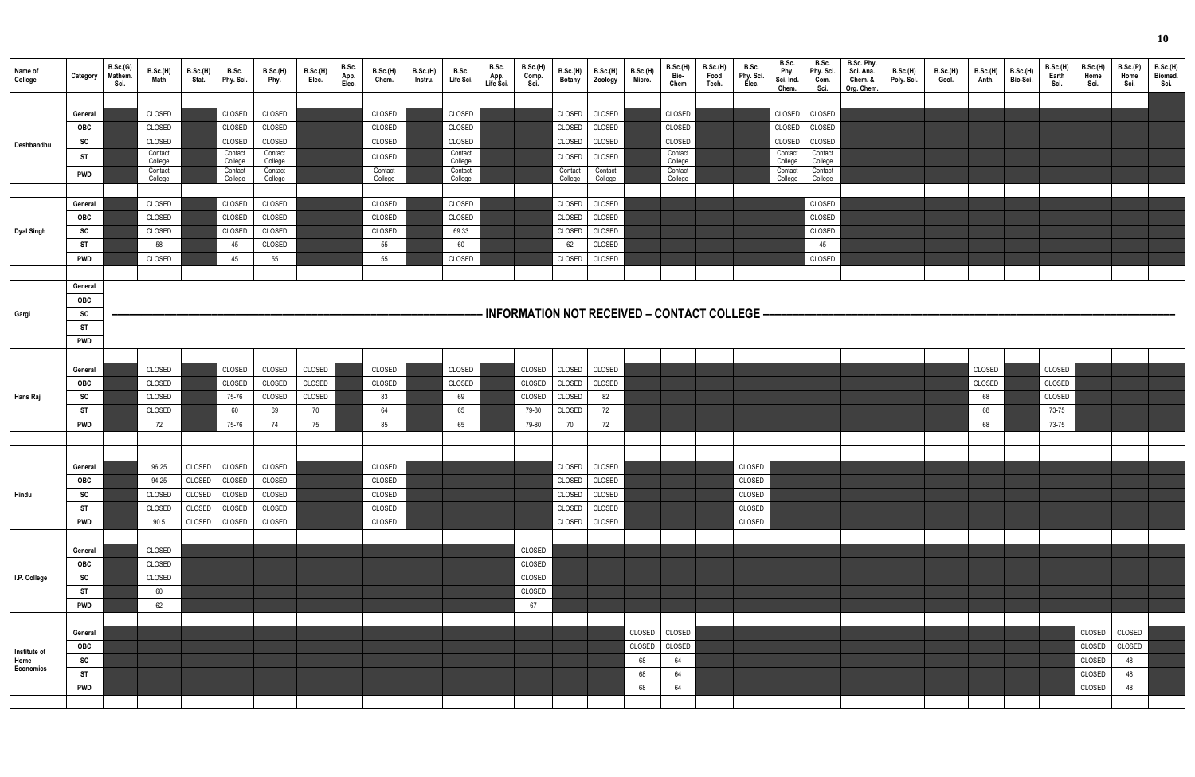| Name of<br>College                | Category                                                                                           | B.Sc.(G)<br>Mathem.<br>Sci. | <b>B.Sc.(H)</b><br><b>Math</b>                                                                                       | B.Sc.(H)<br>Stat.                    | B.Sc.<br>Phy. Sci.                                                                                               | <b>B.Sc.(H)</b><br>Phy.                                                                                              | B.Sc.(H)<br>Elec.                      | B.Sc.<br>App.<br>Elec. | <b>B.Sc.(H)</b><br>Chem.                                                                             | <b>B.Sc.(H)</b><br>Instru. | B.Sc.<br>Life Sci.                                                                                                  | B.Sc.<br>App.<br>Life Sci. | <b>B.Sc.(H)</b><br>Comp.<br>Sci.             | <b>B.Sc.(H)</b><br><b>Botany</b>                                                                         | B.Sc.(H)<br>Zoology                                                                                          | <b>B.Sc.(H)</b><br>Micro.          | B.Sc.(H)<br>Bio-<br>Chem                                               | <b>B.Sc.(H)</b><br>Food<br>Tech. | B.Sc.<br>Phy. Sci.<br>Elec.                    | B.Sc.<br>Phy.<br>Sci. Ind.<br>Chem.                                    | B.Sc.<br>Phy. Sci.<br>Com.<br>Sci.                                                                                   | B.Sc. Phy.<br>Sci. Ana.<br>Chem. &<br>Org. Chem. | <b>B.Sc.(H)</b><br>Poly. Sci. | <b>B.Sc.(H)</b><br>Geol. | <b>B.Sc.(H)</b><br>Anth.           | B.Sc.(H)<br>Bio-Sci. | B.Sc.(H)<br>Earth<br>Sci.                    | <b>B.Sc.(H)</b><br>Home<br>Sci.                | B.Sc.(P)<br>Home<br>Sci.           | <b>B.Sc.(H)</b><br>Biomed.<br>Sci. |
|-----------------------------------|----------------------------------------------------------------------------------------------------|-----------------------------|----------------------------------------------------------------------------------------------------------------------|--------------------------------------|------------------------------------------------------------------------------------------------------------------|----------------------------------------------------------------------------------------------------------------------|----------------------------------------|------------------------|------------------------------------------------------------------------------------------------------|----------------------------|---------------------------------------------------------------------------------------------------------------------|----------------------------|----------------------------------------------|----------------------------------------------------------------------------------------------------------|--------------------------------------------------------------------------------------------------------------|------------------------------------|------------------------------------------------------------------------|----------------------------------|------------------------------------------------|------------------------------------------------------------------------|----------------------------------------------------------------------------------------------------------------------|--------------------------------------------------|-------------------------------|--------------------------|------------------------------------|----------------------|----------------------------------------------|------------------------------------------------|------------------------------------|------------------------------------|
| Deshbandhu<br><b>Dyal Singh</b>   | General<br>OBC<br><b>SC</b><br>ST<br><b>PWD</b><br>General<br><b>OBC</b><br>SC<br>ST<br><b>PWD</b> |                             | CLOSED<br>CLOSED<br>CLOSED<br>Contact<br>College<br>Contact<br>College<br>CLOSED<br>CLOSED<br>CLOSED<br>58<br>CLOSED |                                      | CLOSED<br>CLOSED<br>CLOSED<br>Contact<br>College<br>Contact<br>College<br>CLOSED<br>CLOSED<br>CLOSED<br>45<br>45 | CLOSED<br>CLOSED<br>CLOSED<br>Contact<br>College<br>Contact<br>College<br>CLOSED<br>CLOSED<br>CLOSED<br>CLOSED<br>55 |                                        |                        | CLOSED<br>CLOSED<br>CLOSED<br>CLOSED<br>Contact<br>College<br>CLOSED<br>CLOSED<br>CLOSED<br>55<br>55 |                            | CLOSED<br>CLOSED<br>CLOSED<br>Contact<br>College<br>Contact<br>College<br>CLOSED<br>CLOSED<br>69.33<br>60<br>CLOSED |                            |                                              | CLOSED<br>CLOSED<br>CLOSED<br>CLOSED<br>Contact<br>College<br>CLOSED<br>CLOSED<br>CLOSED<br>62<br>CLOSED | CLOSED<br>CLOSED<br>CLOSED<br>CLOSED<br>Contact<br>College<br>CLOSED<br>CLOSED<br>CLOSED<br>CLOSED<br>CLOSED |                                    | CLOSED<br>CLOSED<br>CLOSED<br>Contact<br>College<br>Contact<br>College |                                  |                                                | CLOSED<br>CLOSED<br>CLOSED<br>Contact<br>College<br>Contact<br>College | CLOSED<br>CLOSED<br>CLOSED<br>Contact<br>College<br>Contact<br>College<br>CLOSED<br>CLOSED<br>CLOSED<br>45<br>CLOSED |                                                  |                               |                          |                                    |                      |                                              |                                                |                                    |                                    |
|                                   |                                                                                                    |                             |                                                                                                                      |                                      |                                                                                                                  |                                                                                                                      |                                        |                        |                                                                                                      |                            |                                                                                                                     |                            |                                              |                                                                                                          |                                                                                                              |                                    |                                                                        |                                  |                                                |                                                                        |                                                                                                                      |                                                  |                               |                          |                                    |                      |                                              |                                                |                                    |                                    |
| Gargi                             | General<br>OBC<br>SC<br>ST<br><b>PWD</b>                                                           |                             |                                                                                                                      |                                      |                                                                                                                  |                                                                                                                      |                                        |                        |                                                                                                      |                            |                                                                                                                     |                            |                                              |                                                                                                          |                                                                                                              |                                    |                                                                        |                                  | - INFORMATION NOT RECEIVED - CONTACT COLLEGE - |                                                                        |                                                                                                                      |                                                  |                               |                          |                                    |                      |                                              |                                                |                                    |                                    |
|                                   |                                                                                                    |                             |                                                                                                                      |                                      |                                                                                                                  |                                                                                                                      |                                        |                        |                                                                                                      |                            |                                                                                                                     |                            |                                              |                                                                                                          |                                                                                                              |                                    |                                                                        |                                  |                                                |                                                                        |                                                                                                                      |                                                  |                               |                          |                                    |                      |                                              |                                                |                                    |                                    |
| Hans Raj                          | General<br><b>OBC</b><br>SC<br>ST<br><b>PWD</b>                                                    |                             | CLOSED<br>CLOSED<br>CLOSED<br>CLOSED<br>72                                                                           |                                      | CLOSED<br>CLOSED<br>75-76<br>60<br>75-76                                                                         | CLOSED<br>CLOSED<br>CLOSED<br>69<br>74                                                                               | CLOSED<br>CLOSED<br>CLOSED<br>70<br>75 |                        | CLOSED<br>CLOSED<br>83<br>64<br>85                                                                   |                            | CLOSED<br>CLOSED<br>69<br>65<br>65                                                                                  |                            | CLOSED<br>CLOSED<br>CLOSED<br>79-80<br>79-80 | CLOSED<br>CLOSED<br>CLOSED<br>CLOSED<br>70                                                               | CLOSED<br>CLOSED<br>82<br>72<br>72                                                                           |                                    |                                                                        |                                  |                                                |                                                                        |                                                                                                                      |                                                  |                               |                          | CLOSED<br>CLOSED<br>68<br>68<br>68 |                      | CLOSED<br>CLOSED<br>CLOSED<br>73-75<br>73-75 |                                                |                                    |                                    |
|                                   |                                                                                                    |                             |                                                                                                                      |                                      |                                                                                                                  |                                                                                                                      |                                        |                        |                                                                                                      |                            |                                                                                                                     |                            |                                              |                                                                                                          |                                                                                                              |                                    |                                                                        |                                  |                                                |                                                                        |                                                                                                                      |                                                  |                               |                          |                                    |                      |                                              |                                                |                                    |                                    |
| Hindu                             | General<br><b>OBC</b><br>SC<br><b>ST</b><br><b>PWD</b>                                             |                             | 96.25<br>94.25<br>CLOSED<br>CLOSED<br>90.5                                                                           | CLOSED<br>CLOSED<br>CLOSED<br>CLOSED | CLOSED CLOSED<br>CLOSED<br>CLOSED<br>CLOSED<br>CLOSED                                                            | CLOSED<br>CLOSED<br>CLOSED<br>CLOSED<br>CLOSED                                                                       |                                        |                        | CLOSED<br>CLOSED<br>CLOSED<br>CLOSED<br>CLOSED                                                       |                            |                                                                                                                     |                            |                                              | CLOSED<br>CLOSED<br>CLOSED<br>CLOSED                                                                     | CLOSED CLOSED<br>CLOSED<br>CLOSED<br>CLOSED<br>CLOSED                                                        |                                    |                                                                        |                                  | CLOSED<br>CLOSED<br>CLOSED<br>CLOSED<br>CLOSED |                                                                        |                                                                                                                      |                                                  |                               |                          |                                    |                      |                                              |                                                |                                    |                                    |
| I.P. College                      | General<br>OBC<br>SC<br><b>ST</b><br><b>PWD</b>                                                    |                             | CLOSED<br>CLOSED<br>CLOSED<br>60<br>62                                                                               |                                      |                                                                                                                  |                                                                                                                      |                                        |                        |                                                                                                      |                            |                                                                                                                     |                            | CLOSED<br>CLOSED<br>CLOSED<br>CLOSED<br>67   |                                                                                                          |                                                                                                              |                                    |                                                                        |                                  |                                                |                                                                        |                                                                                                                      |                                                  |                               |                          |                                    |                      |                                              |                                                |                                    |                                    |
| Institute of<br>Home<br>Economics | General<br>OBC<br>SC<br><b>ST</b><br><b>PWD</b>                                                    |                             |                                                                                                                      |                                      |                                                                                                                  |                                                                                                                      |                                        |                        |                                                                                                      |                            |                                                                                                                     |                            |                                              |                                                                                                          |                                                                                                              | CLOSED<br>CLOSED<br>68<br>68<br>68 | CLOSED<br>CLOSED<br>64<br>64<br>64                                     |                                  |                                                |                                                                        |                                                                                                                      |                                                  |                               |                          |                                    |                      |                                              | CLOSED<br>CLOSED<br>CLOSED<br>CLOSED<br>CLOSED | CLOSED<br>CLOSED<br>48<br>48<br>48 |                                    |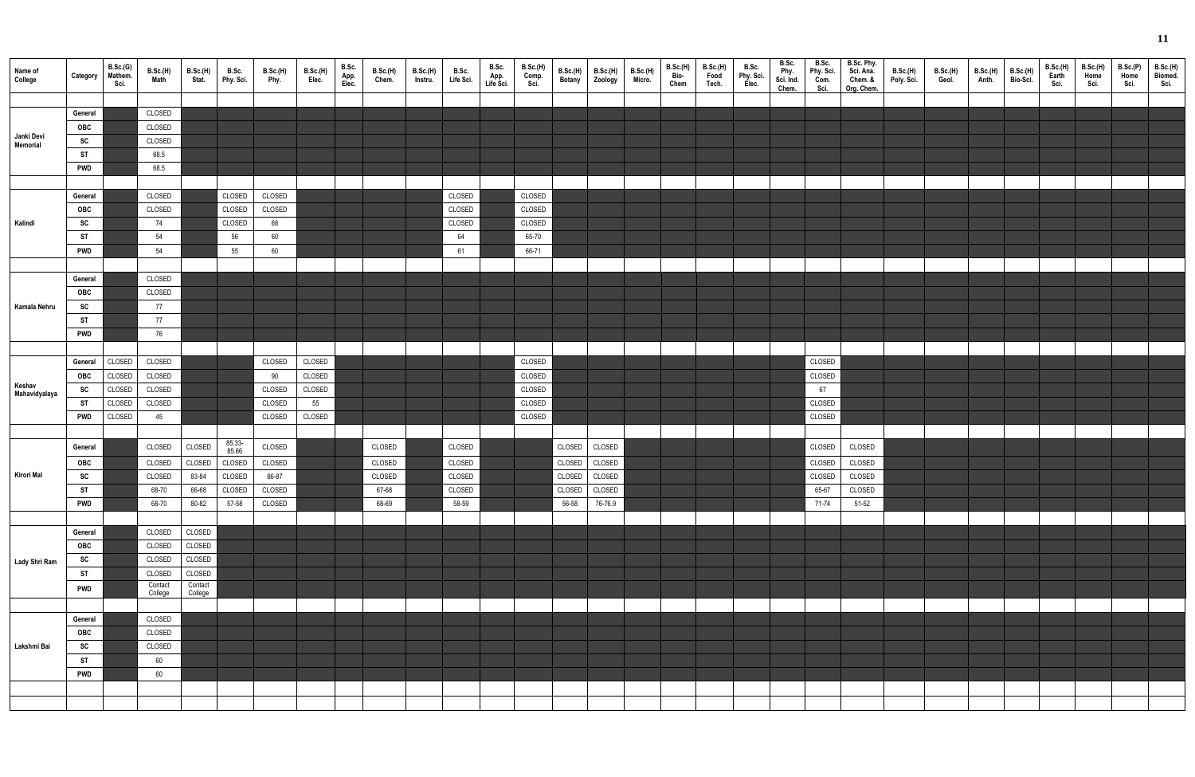| Name of<br>College      | Category       | B.Sc.(G)<br>Mathem.<br>Sci. | B.Sc.(H)<br><b>Math</b> | B.Sc.(H)<br>Stat.  | B.Sc.<br>Phy. Sci. | <b>B.Sc.(H)</b><br>Phy. | B.Sc.(H)<br>Elec. | B.Sc.<br>App.<br>Elec. | <b>B.Sc.(H)</b><br>Chem. | <b>B.Sc.(H)</b><br>Instru. | B.Sc.<br>Life Sci. | B.Sc.<br>App.<br>Life Sci. | <b>B.Sc.(H)</b><br>Comp. | <b>B.Sc.(H)</b><br><b>Botany</b> | <b>B.Sc.(H)</b><br>Zoology | <b>B.Sc.(H)</b><br>Micro. | B.Sc.(H)<br>Bio-<br>Chem | B.Sc.(H)<br>Food<br>Tech. | B.Sc.<br>Phy. Sci.<br>Elec. | B.Sc.<br>Phy.<br>Sci. Ind.<br>Chem. | B.Sc.<br>Phy. Sci.<br>Com.<br>Sci. | B.Sc. Phy.<br>Sci. Ana.<br>Chem. &<br>Org. Chem. | B.Sc.(H)<br>Poly. Sci. | B.Sc.(H)<br>Geol. | B.Sc.(H)<br>Anth. | B.Sc.(H)<br>Bio-Sci. | B.Sc.(H)<br>Earth<br>Sci. | <b>B.Sc.(H)</b><br>Home<br>Sci. | B.Sc.(P)<br>Home<br>Sci. | B.Sc.(H)<br>Biomed.<br>Sci. |
|-------------------------|----------------|-----------------------------|-------------------------|--------------------|--------------------|-------------------------|-------------------|------------------------|--------------------------|----------------------------|--------------------|----------------------------|--------------------------|----------------------------------|----------------------------|---------------------------|--------------------------|---------------------------|-----------------------------|-------------------------------------|------------------------------------|--------------------------------------------------|------------------------|-------------------|-------------------|----------------------|---------------------------|---------------------------------|--------------------------|-----------------------------|
|                         |                |                             |                         |                    |                    |                         |                   |                        |                          |                            |                    |                            |                          |                                  |                            |                           |                          |                           |                             |                                     |                                    |                                                  |                        |                   |                   |                      |                           |                                 |                          |                             |
|                         | General<br>OBC |                             | CLOSED<br>CLOSED        |                    |                    |                         |                   |                        |                          |                            |                    |                            |                          |                                  |                            |                           |                          |                           |                             |                                     |                                    |                                                  |                        |                   |                   |                      |                           |                                 |                          |                             |
| Janki Devi              | SC             |                             | CLOSED                  |                    |                    |                         |                   |                        |                          |                            |                    |                            |                          |                                  |                            |                           |                          |                           |                             |                                     |                                    |                                                  |                        |                   |                   |                      |                           |                                 |                          |                             |
| Memorial                | ST             |                             | 68.5                    |                    |                    |                         |                   |                        |                          |                            |                    |                            |                          |                                  |                            |                           |                          |                           |                             |                                     |                                    |                                                  |                        |                   |                   |                      |                           |                                 |                          |                             |
|                         | <b>PWD</b>     |                             | 68.5                    |                    |                    |                         |                   |                        |                          |                            |                    |                            |                          |                                  |                            |                           |                          |                           |                             |                                     |                                    |                                                  |                        |                   |                   |                      |                           |                                 |                          |                             |
|                         |                |                             |                         |                    |                    |                         |                   |                        |                          |                            |                    |                            |                          |                                  |                            |                           |                          |                           |                             |                                     |                                    |                                                  |                        |                   |                   |                      |                           |                                 |                          |                             |
|                         | General        |                             | CLOSED                  |                    | CLOSED             | CLOSED                  |                   |                        |                          |                            | CLOSED             |                            | CLOSED                   |                                  |                            |                           |                          |                           |                             |                                     |                                    |                                                  |                        |                   |                   |                      |                           |                                 |                          |                             |
|                         | OBC            |                             | CLOSED                  |                    | CLOSED             | CLOSED                  |                   |                        |                          |                            | CLOSED             |                            | CLOSED                   |                                  |                            |                           |                          |                           |                             |                                     |                                    |                                                  |                        |                   |                   |                      |                           |                                 |                          |                             |
| Kalindi                 | SC             |                             | 74                      |                    | CLOSED             | 68                      |                   |                        |                          |                            | CLOSED             |                            | CLOSED                   |                                  |                            |                           |                          |                           |                             |                                     |                                    |                                                  |                        |                   |                   |                      |                           |                                 |                          |                             |
|                         | <b>ST</b>      |                             | 54                      |                    | 56                 | 60                      |                   |                        |                          |                            | 64                 |                            | 65-70                    |                                  |                            |                           |                          |                           |                             |                                     |                                    |                                                  |                        |                   |                   |                      |                           |                                 |                          |                             |
|                         | <b>PWD</b>     |                             | 54                      |                    | 55                 | 60                      |                   |                        |                          |                            | 61                 |                            | 66-71                    |                                  |                            |                           |                          |                           |                             |                                     |                                    |                                                  |                        |                   |                   |                      |                           |                                 |                          |                             |
|                         |                |                             |                         |                    |                    |                         |                   |                        |                          |                            |                    |                            |                          |                                  |                            |                           |                          |                           |                             |                                     |                                    |                                                  |                        |                   |                   |                      |                           |                                 |                          |                             |
|                         | General        |                             | CLOSED                  |                    |                    |                         |                   |                        |                          |                            |                    |                            |                          |                                  |                            |                           |                          |                           |                             |                                     |                                    |                                                  |                        |                   |                   |                      |                           |                                 |                          |                             |
|                         | OBC            |                             | CLOSED                  |                    |                    |                         |                   |                        |                          |                            |                    |                            |                          |                                  |                            |                           |                          |                           |                             |                                     |                                    |                                                  |                        |                   |                   |                      |                           |                                 |                          |                             |
| Kamala Nehru            | SC             |                             | 77                      |                    |                    |                         |                   |                        |                          |                            |                    |                            |                          |                                  |                            |                           |                          |                           |                             |                                     |                                    |                                                  |                        |                   |                   |                      |                           |                                 |                          |                             |
|                         | <b>ST</b>      |                             | 77                      |                    |                    |                         |                   |                        |                          |                            |                    |                            |                          |                                  |                            |                           |                          |                           |                             |                                     |                                    |                                                  |                        |                   |                   |                      |                           |                                 |                          |                             |
|                         | <b>PWD</b>     |                             | 76                      |                    |                    |                         |                   |                        |                          |                            |                    |                            |                          |                                  |                            |                           |                          |                           |                             |                                     |                                    |                                                  |                        |                   |                   |                      |                           |                                 |                          |                             |
|                         | General        | CLOSED                      |                         |                    |                    | CLOSED                  |                   |                        |                          |                            |                    |                            | CLOSED                   |                                  |                            |                           |                          |                           |                             |                                     | CLOSED                             |                                                  |                        |                   |                   |                      |                           |                                 |                          |                             |
|                         | <b>OBC</b>     | CLOSED                      | CLOSED<br>CLOSED        |                    |                    | 90                      | CLOSED<br>CLOSED  |                        |                          |                            |                    |                            | CLOSED                   |                                  |                            |                           |                          |                           |                             |                                     | CLOSED                             |                                                  |                        |                   |                   |                      |                           |                                 |                          |                             |
| Keshav<br>Mahavidyalaya | <b>SC</b>      | CLOSED                      | CLOSED                  |                    |                    | CLOSED                  | CLOSED            |                        |                          |                            |                    |                            | CLOSED                   |                                  |                            |                           |                          |                           |                             |                                     | 67                                 |                                                  |                        |                   |                   |                      |                           |                                 |                          |                             |
|                         | <b>ST</b>      | CLOSED                      | CLOSED                  |                    |                    | CLOSED                  | 55                |                        |                          |                            |                    |                            | CLOSED                   |                                  |                            |                           |                          |                           |                             |                                     | CLOSED                             |                                                  |                        |                   |                   |                      |                           |                                 |                          |                             |
|                         | <b>PWD</b>     | CLOSED                      | 45                      |                    |                    | CLOSED                  | CLOSED            |                        |                          |                            |                    |                            | CLOSED                   |                                  |                            |                           |                          |                           |                             |                                     | CLOSED                             |                                                  |                        |                   |                   |                      |                           |                                 |                          |                             |
|                         |                |                             |                         |                    |                    |                         |                   |                        |                          |                            |                    |                            |                          |                                  |                            |                           |                          |                           |                             |                                     |                                    |                                                  |                        |                   |                   |                      |                           |                                 |                          |                             |
|                         | General        |                             | CLOSED                  | CLOSED             | 85.33-             | CLOSED                  |                   |                        | CLOSED                   |                            | CLOSED             |                            |                          | CLOSED                           | CLOSED                     |                           |                          |                           |                             |                                     | CLOSED                             | CLOSED                                           |                        |                   |                   |                      |                           |                                 |                          |                             |
|                         | <b>OBC</b>     |                             | CLOSED                  | CLOSED             | 85.66<br>CLOSED    | CLOSED                  |                   |                        | CLOSED                   |                            | CLOSED             |                            |                          |                                  | CLOSED CLOSED              |                           |                          |                           |                             |                                     | CLOSED                             | CLOSED                                           |                        |                   |                   |                      |                           |                                 |                          |                             |
| Kirori Mal              | SC             |                             | CLOSED                  | 83-84              | CLOSED             | 86-87                   |                   |                        | CLOSED                   |                            | CLOSED             |                            |                          |                                  | CLOSED CLOSED              |                           |                          |                           |                             |                                     | CLOSED                             | CLOSED                                           |                        |                   |                   |                      |                           |                                 |                          |                             |
|                         | <b>ST</b>      |                             | 68-70                   | 66-68              | CLOSED             | CLOSED                  |                   |                        | 67-68                    |                            | CLOSED             |                            |                          |                                  | CLOSED CLOSED              |                           |                          |                           |                             |                                     | 65-67                              | CLOSED                                           |                        |                   |                   |                      |                           |                                 |                          |                             |
|                         | <b>PWD</b>     |                             | 68-70                   | 80-82              | 57-58              | CLOSED                  |                   |                        | 68-69                    |                            | 58-59              |                            |                          | 56-58                            | 76-76.9                    |                           |                          |                           |                             |                                     | 71-74                              | 51-52                                            |                        |                   |                   |                      |                           |                                 |                          |                             |
|                         |                |                             |                         |                    |                    |                         |                   |                        |                          |                            |                    |                            |                          |                                  |                            |                           |                          |                           |                             |                                     |                                    |                                                  |                        |                   |                   |                      |                           |                                 |                          |                             |
|                         | General        |                             | CLOSED                  | CLOSED             |                    |                         |                   |                        |                          |                            |                    |                            |                          |                                  |                            |                           |                          |                           |                             |                                     |                                    |                                                  |                        |                   |                   |                      |                           |                                 |                          |                             |
|                         | OBC            |                             | CLOSED                  | CLOSED             |                    |                         |                   |                        |                          |                            |                    |                            |                          |                                  |                            |                           |                          |                           |                             |                                     |                                    |                                                  |                        |                   |                   |                      |                           |                                 |                          |                             |
| Lady Shri Ram           | SC             |                             | CLOSED                  | CLOSED             |                    |                         |                   |                        |                          |                            |                    |                            |                          |                                  |                            |                           |                          |                           |                             |                                     |                                    |                                                  |                        |                   |                   |                      |                           |                                 |                          |                             |
|                         | ST             |                             | CLOSED                  | CLOSED             |                    |                         |                   |                        |                          |                            |                    |                            |                          |                                  |                            |                           |                          |                           |                             |                                     |                                    |                                                  |                        |                   |                   |                      |                           |                                 |                          |                             |
|                         | <b>PWD</b>     |                             | Contact<br>College      | Contact<br>College |                    |                         |                   |                        |                          |                            |                    |                            |                          |                                  |                            |                           |                          |                           |                             |                                     |                                    |                                                  |                        |                   |                   |                      |                           |                                 |                          |                             |
|                         |                |                             |                         |                    |                    |                         |                   |                        |                          |                            |                    |                            |                          |                                  |                            |                           |                          |                           |                             |                                     |                                    |                                                  |                        |                   |                   |                      |                           |                                 |                          |                             |
|                         | General        |                             | CLOSED                  |                    |                    |                         |                   |                        |                          |                            |                    |                            |                          |                                  |                            |                           |                          |                           |                             |                                     |                                    |                                                  |                        |                   |                   |                      |                           |                                 |                          |                             |
|                         | OBC            |                             | CLOSED                  |                    |                    |                         |                   |                        |                          |                            |                    |                            |                          |                                  |                            |                           |                          |                           |                             |                                     |                                    |                                                  |                        |                   |                   |                      |                           |                                 |                          |                             |
| Lakshmi Bai             | SC             |                             | CLOSED                  |                    |                    |                         |                   |                        |                          |                            |                    |                            |                          |                                  |                            |                           |                          |                           |                             |                                     |                                    |                                                  |                        |                   |                   |                      |                           |                                 |                          |                             |
|                         | <b>ST</b>      |                             | 60                      |                    |                    |                         |                   |                        |                          |                            |                    |                            |                          |                                  |                            |                           |                          |                           |                             |                                     |                                    |                                                  |                        |                   |                   |                      |                           |                                 |                          |                             |
|                         | <b>PWD</b>     |                             | 60                      |                    |                    |                         |                   |                        |                          |                            |                    |                            |                          |                                  |                            |                           |                          |                           |                             |                                     |                                    |                                                  |                        |                   |                   |                      |                           |                                 |                          |                             |
|                         |                |                             |                         |                    |                    |                         |                   |                        |                          |                            |                    |                            |                          |                                  |                            |                           |                          |                           |                             |                                     |                                    |                                                  |                        |                   |                   |                      |                           |                                 |                          |                             |
|                         |                |                             |                         |                    |                    |                         |                   |                        |                          |                            |                    |                            |                          |                                  |                            |                           |                          |                           |                             |                                     |                                    |                                                  |                        |                   |                   |                      |                           |                                 |                          |                             |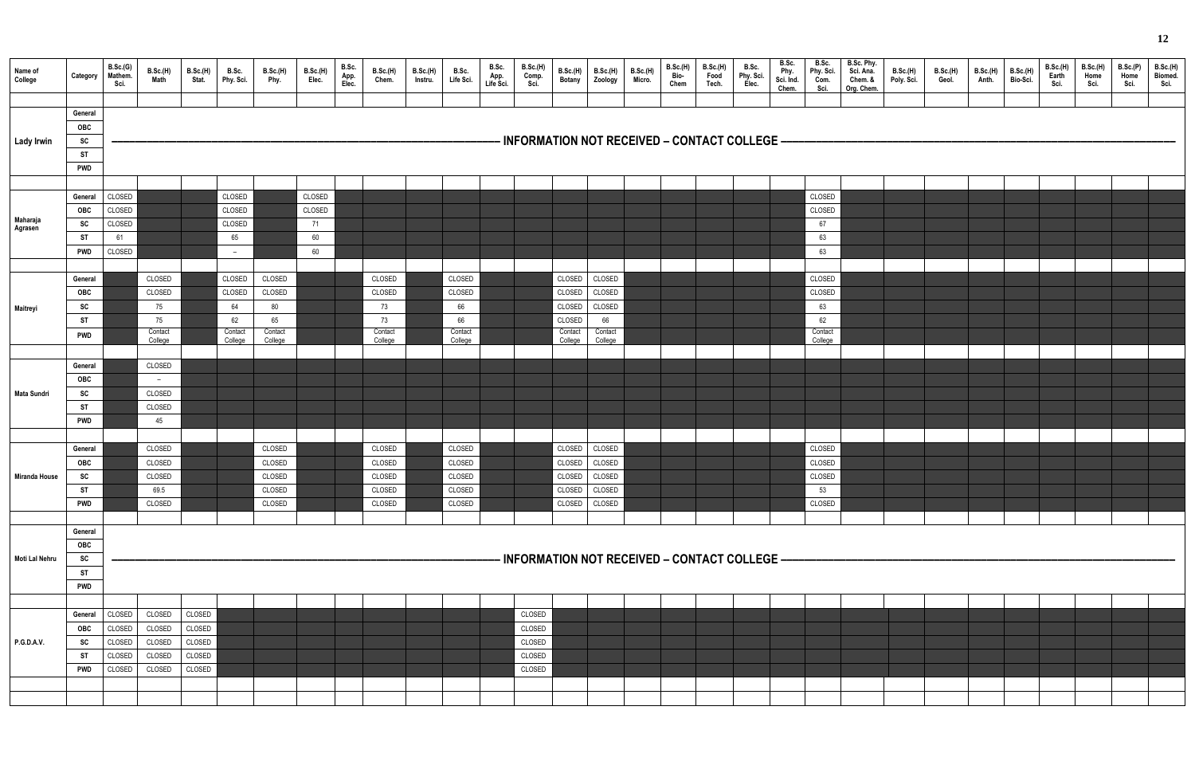| Name of<br>College   | Category                                                                  | B.Sc.(G)<br>Mathem.<br>Sci.                    | B.Sc.(H)<br>Math                                   | <b>B.Sc.(H)</b><br>Stat.                       | B.Sc.<br>Phy. Sci.                                 | <b>B.Sc.(H)</b><br>Phy.                            | B.Sc.(H)<br>Elec.                  | B.Sc.<br>App.<br>Elec. | B.Sc.(H)<br>Chem.                                  | B.Sc.(H)<br>Instru. | B.Sc.<br>Life Sci.                                 | B.Sc.<br>App.<br>Life Sci. | <b>B.Sc.(H)</b><br>Comp.<br>Sci.               | B.Sc.(H)<br><b>Botany</b>                                           | B.Sc.(H)<br>Zoology                                    | <b>B.Sc.(H)</b><br>Micro. | B.Sc.(H)<br>Bio-<br>Chem | B.Sc.(H)<br>Food<br>Tech. | B.Sc.<br>Phy. Sci.<br>Elec. | B.Sc.<br>Phy.<br>Sci. Ind.<br>Chem. | B.Sc.<br>Phy. Sci.<br>Com.<br>Sci.                 | B.Sc. Phy.<br>Sci. Ana.<br>Chem. &<br>Org. Chem. | B.Sc.(H)<br>Poly. Sci. | B.Sc.(H)<br>Geol. | B.Sc.(H)<br>Anth. | <b>B.Sc.(H)</b><br>Bio-Sci. | B.Sc.(H)<br>Earth<br>Sci. | <b>B.Sc.(H)</b><br>Home<br>Sci. | B.Sc.(P)<br>Home<br>Sci. | <b>B.Sc.(H)</b><br>Biomed.<br>Sci. |
|----------------------|---------------------------------------------------------------------------|------------------------------------------------|----------------------------------------------------|------------------------------------------------|----------------------------------------------------|----------------------------------------------------|------------------------------------|------------------------|----------------------------------------------------|---------------------|----------------------------------------------------|----------------------------|------------------------------------------------|---------------------------------------------------------------------|--------------------------------------------------------|---------------------------|--------------------------|---------------------------|-----------------------------|-------------------------------------|----------------------------------------------------|--------------------------------------------------|------------------------|-------------------|-------------------|-----------------------------|---------------------------|---------------------------------|--------------------------|------------------------------------|
| <b>Lady Irwin</b>    | General<br>OBC<br>${\sf sc}$<br><b>ST</b><br><b>PWD</b>                   |                                                |                                                    |                                                |                                                    |                                                    |                                    |                        |                                                    |                     |                                                    |                            |                                                | · INFORMATION NOT RECEIVED – CONTACT COLLEGE –                      |                                                        |                           |                          |                           |                             |                                     |                                                    |                                                  |                        |                   |                   |                             |                           |                                 |                          |                                    |
| Maharaja<br>Agrasen  | General<br><b>OBC</b><br><b>SC</b><br>ST<br><b>PWD</b>                    | CLOSED<br>CLOSED<br>CLOSED<br>61<br>CLOSED     |                                                    |                                                | CLOSED<br>CLOSED<br>CLOSED<br>65<br>$ \,$          |                                                    | CLOSED<br>CLOSED<br>71<br>60<br>60 |                        |                                                    |                     |                                                    |                            |                                                |                                                                     |                                                        |                           |                          |                           |                             |                                     | CLOSED<br>CLOSED<br>67<br>63<br>63                 |                                                  |                        |                   |                   |                             |                           |                                 |                          |                                    |
| Maitreyi             | General<br>OBC<br>SC<br><b>ST</b><br><b>PWD</b>                           |                                                | CLOSED<br>CLOSED<br>75<br>75<br>Contact<br>College |                                                | CLOSED<br>CLOSED<br>64<br>62<br>Contact<br>College | CLOSED<br>CLOSED<br>80<br>65<br>Contact<br>College |                                    |                        | CLOSED<br>CLOSED<br>73<br>73<br>Contact<br>College |                     | CLOSED<br>CLOSED<br>66<br>66<br>Contact<br>College |                            |                                                | CLOSED<br>CLOSED<br>CLOSED<br>CLOSED<br>Contact<br>College          | CLOSED<br>CLOSED<br>CLOSED<br>66<br>Contact<br>College |                           |                          |                           |                             |                                     | CLOSED<br>CLOSED<br>63<br>62<br>Contact<br>College |                                                  |                        |                   |                   |                             |                           |                                 |                          |                                    |
| <b>Mata Sundri</b>   | General<br>OBC<br><b>SC</b><br><b>ST</b><br><b>PWD</b>                    |                                                | CLOSED<br>$\sim$<br>CLOSED<br>CLOSED<br>45         |                                                |                                                    |                                                    |                                    |                        |                                                    |                     |                                                    |                            |                                                |                                                                     |                                                        |                           |                          |                           |                             |                                     |                                                    |                                                  |                        |                   |                   |                             |                           |                                 |                          |                                    |
| <b>Miranda House</b> | General<br>OBC<br>SC<br><b>ST</b><br><b>PWD</b>                           |                                                | CLOSED<br>CLOSED<br>CLOSED<br>69.5<br>CLOSED       |                                                |                                                    | CLOSED<br>CLOSED<br>CLOSED<br>CLOSED<br>CLOSED     |                                    |                        | CLOSED<br>CLOSED<br>CLOSED<br>CLOSED<br>CLOSED     |                     | CLOSED<br>CLOSED<br>CLOSED<br>CLOSED<br>CLOSED     |                            |                                                | CLOSED<br>CLOSED<br>CLOSED CLOSED<br>CLOSED CLOSED<br><b>CLOSED</b> | CLOSED<br>CLOSED<br>CLOSED                             |                           |                          |                           |                             |                                     | CLOSED<br>CLOSED<br>CLOSED<br>53<br>CLOSED         |                                                  |                        |                   |                   |                             |                           |                                 |                          |                                    |
| Moti Lal Nehru       | General<br>OBC<br>$\operatorname{\textsf{sc}}$<br><b>ST</b><br><b>PWD</b> |                                                |                                                    |                                                |                                                    |                                                    |                                    |                        |                                                    |                     |                                                    |                            |                                                | INFORMATION NOT RECEIVED - CONTACT COLLEGE -                        |                                                        |                           |                          |                           |                             |                                     |                                                    |                                                  |                        |                   |                   |                             |                           |                                 |                          |                                    |
| P.G.D.A.V.           | General<br>OBC<br><b>SC</b><br>ST<br><b>PWD</b>                           | CLOSED<br>CLOSED<br>CLOSED<br>CLOSED<br>CLOSED | CLOSED<br>CLOSED<br>CLOSED<br>CLOSED<br>CLOSED     | CLOSED<br>CLOSED<br>CLOSED<br>CLOSED<br>CLOSED |                                                    |                                                    |                                    |                        |                                                    |                     |                                                    |                            | CLOSED<br>CLOSED<br>CLOSED<br>CLOSED<br>CLOSED |                                                                     |                                                        |                           |                          |                           |                             |                                     |                                                    |                                                  |                        |                   |                   |                             |                           |                                 |                          |                                    |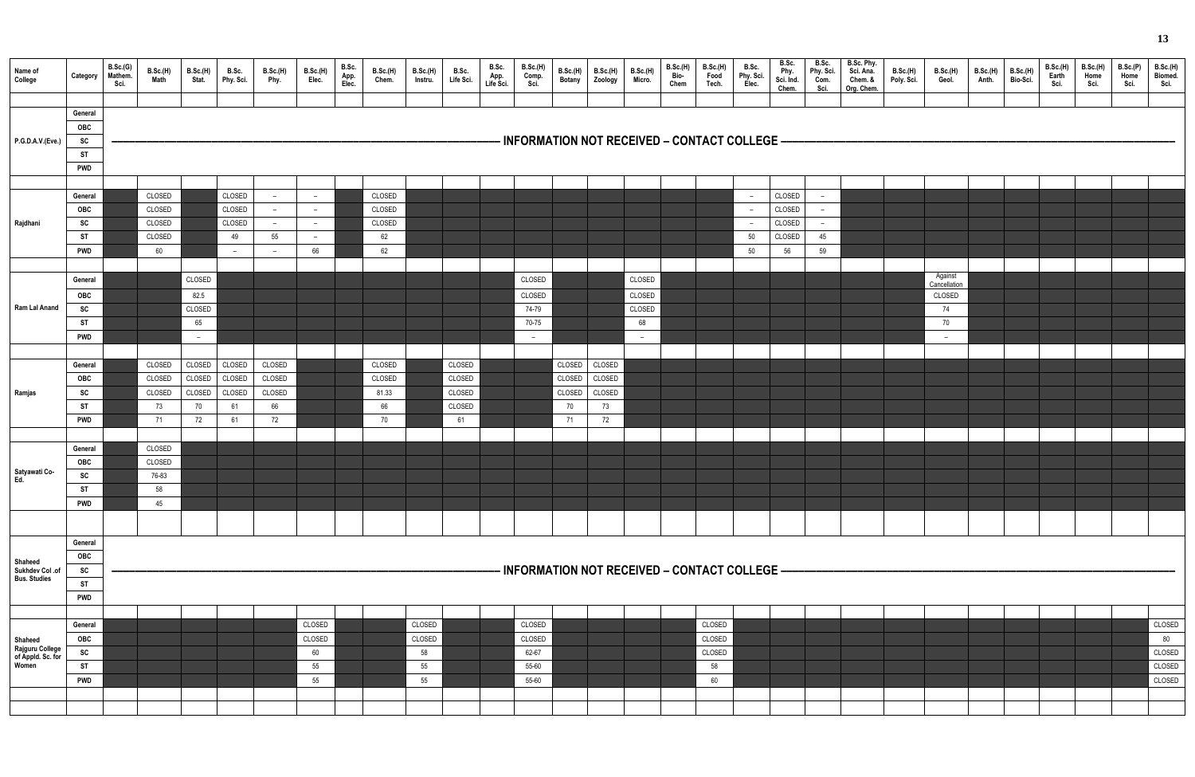| Name of<br>College                            | Category                                               | B.Sc.(G)<br>Mathem.<br>Sci. | B.Sc.(H)<br>Math | B.Sc.(H)<br>Stat. | B.Sc.<br>Phy. Sci. | B.Sc.(H)<br>Phy. | B.Sc.(H)<br>Elec.        | B.Sc.<br>App.<br>Elec. | B.Sc.(H)<br>Chem. | B.Sc.(H)<br>Instru. | B.Sc.<br>Life Sci. | B.Sc.<br>App.<br>Life Sci. | <b>B.Sc.(H)</b><br>Comp.<br>Sci. | B.Sc.(H)<br><b>Botany</b> | B.Sc.(H)<br>Zoology | <b>B.Sc.(H)</b><br>Micro. | B.Sc.(H)<br>Bio-<br>Chem | B.Sc.(H)<br>Food<br>Tech.                      | B.Sc.<br>Phy. Sci.<br>Elec. | B.Sc.<br>Phy.<br>Sci. Ind.<br>Chem. | B.Sc.<br>Phy. Sci.<br>Com.<br>Sci. | B.Sc. Phy.<br>Sci. Ana.<br>Chem. &<br>Org. Chem. | <b>B.Sc.(H)</b><br>Poly. Sci. | <b>B.Sc.(H)</b><br>Geol. | B.Sc.(H)<br>Anth. | B.Sc.(H)<br>Bio-Sci. | B.Sc.(H)<br>Earth<br>Sci. | B.Sc.(H)<br>Home<br>Sci. | B.Sc.(P)<br>Home<br>Sci. | <b>B.Sc.(H)</b><br>Biomed.<br>Sci. |
|-----------------------------------------------|--------------------------------------------------------|-----------------------------|------------------|-------------------|--------------------|------------------|--------------------------|------------------------|-------------------|---------------------|--------------------|----------------------------|----------------------------------|---------------------------|---------------------|---------------------------|--------------------------|------------------------------------------------|-----------------------------|-------------------------------------|------------------------------------|--------------------------------------------------|-------------------------------|--------------------------|-------------------|----------------------|---------------------------|--------------------------|--------------------------|------------------------------------|
| P.G.D.A.V.(Eve.)                              | General<br><b>OBC</b><br>SC<br><b>ST</b><br><b>PWD</b> |                             |                  |                   |                    |                  |                          |                        |                   |                     |                    |                            |                                  |                           |                     |                           |                          | - INFORMATION NOT RECEIVED – CONTACT COLLEGE – |                             |                                     |                                    |                                                  |                               |                          |                   |                      |                           |                          |                          |                                    |
|                                               |                                                        |                             |                  |                   |                    |                  |                          |                        |                   |                     |                    |                            |                                  |                           |                     |                           |                          |                                                |                             |                                     |                                    |                                                  |                               |                          |                   |                      |                           |                          |                          |                                    |
|                                               | General                                                |                             | CLOSED           |                   | CLOSED             | $-$              | $\overline{\phantom{a}}$ |                        | CLOSED            |                     |                    |                            |                                  |                           |                     |                           |                          |                                                | $ \,$                       | CLOSED                              | $\sim$                             |                                                  |                               |                          |                   |                      |                           |                          |                          |                                    |
|                                               | <b>OBC</b>                                             |                             | CLOSED           |                   | CLOSED             |                  | $\overline{\phantom{m}}$ |                        | CLOSED            |                     |                    |                            |                                  |                           |                     |                           |                          |                                                | $-$                         | CLOSED                              | $-$                                |                                                  |                               |                          |                   |                      |                           |                          |                          |                                    |
| Rajdhani                                      | SC                                                     |                             | CLOSED           |                   | CLOSED             | $-$              | $-$                      |                        | CLOSED            |                     |                    |                            |                                  |                           |                     |                           |                          |                                                | $ \,$                       | CLOSED                              | $-$                                |                                                  |                               |                          |                   |                      |                           |                          |                          |                                    |
|                                               | ST                                                     |                             | CLOSED           |                   | 49                 | 55               | $\overline{\phantom{a}}$ |                        | 62                |                     |                    |                            |                                  |                           |                     |                           |                          |                                                | 50                          | CLOSED                              | 45                                 |                                                  |                               |                          |                   |                      |                           |                          |                          |                                    |
|                                               | <b>PWD</b>                                             |                             | 60               |                   | $\sim$             |                  | 66                       |                        | 62                |                     |                    |                            |                                  |                           |                     |                           |                          |                                                | 50                          | 56                                  | 59                                 |                                                  |                               |                          |                   |                      |                           |                          |                          |                                    |
|                                               | General                                                |                             |                  | CLOSED            |                    |                  |                          |                        |                   |                     |                    |                            | CLOSED                           |                           |                     | CLOSED                    |                          |                                                |                             |                                     |                                    |                                                  |                               | Against                  |                   |                      |                           |                          |                          |                                    |
|                                               | <b>OBC</b>                                             |                             |                  | 82.5              |                    |                  |                          |                        |                   |                     |                    |                            | CLOSED                           |                           |                     | CLOSED                    |                          |                                                |                             |                                     |                                    |                                                  |                               | Cancellation<br>CLOSED   |                   |                      |                           |                          |                          |                                    |
| Ram Lal Anand                                 | SC                                                     |                             |                  | CLOSED            |                    |                  |                          |                        |                   |                     |                    |                            | 74-79                            |                           |                     | CLOSED                    |                          |                                                |                             |                                     |                                    |                                                  |                               | 74                       |                   |                      |                           |                          |                          |                                    |
|                                               | <b>ST</b>                                              |                             |                  | 65                |                    |                  |                          |                        |                   |                     |                    |                            | 70-75                            |                           |                     | 68                        |                          |                                                |                             |                                     |                                    |                                                  |                               | 70                       |                   |                      |                           |                          |                          |                                    |
|                                               | <b>PWD</b>                                             |                             |                  | $-$               |                    |                  |                          |                        |                   |                     |                    |                            | $\overline{\phantom{0}}$         |                           |                     | $\overline{\phantom{0}}$  |                          |                                                |                             |                                     |                                    |                                                  |                               | $\overline{\phantom{a}}$ |                   |                      |                           |                          |                          |                                    |
|                                               |                                                        |                             |                  |                   |                    |                  |                          |                        |                   |                     |                    |                            |                                  |                           |                     |                           |                          |                                                |                             |                                     |                                    |                                                  |                               |                          |                   |                      |                           |                          |                          |                                    |
|                                               | General                                                |                             | CLOSED           | CLOSED            | CLOSED             | CLOSED           |                          |                        | CLOSED            |                     | CLOSED             |                            |                                  | CLOSED                    | CLOSED              |                           |                          |                                                |                             |                                     |                                    |                                                  |                               |                          |                   |                      |                           |                          |                          |                                    |
|                                               | OBC                                                    |                             | CLOSED           | CLOSED            | CLOSED             | CLOSED           |                          |                        | CLOSED            |                     | CLOSED             |                            |                                  | CLOSED                    | CLOSED              |                           |                          |                                                |                             |                                     |                                    |                                                  |                               |                          |                   |                      |                           |                          |                          |                                    |
| Ramjas                                        | SC                                                     |                             | CLOSED           | CLOSED            | CLOSED             | CLOSED           |                          |                        | 81.33             |                     | CLOSED             |                            |                                  | CLOSED                    | CLOSED              |                           |                          |                                                |                             |                                     |                                    |                                                  |                               |                          |                   |                      |                           |                          |                          |                                    |
|                                               | ST                                                     |                             | 73               | 70                | 61                 | 66               |                          |                        | 66                |                     | CLOSED             |                            |                                  | 70                        | 73                  |                           |                          |                                                |                             |                                     |                                    |                                                  |                               |                          |                   |                      |                           |                          |                          |                                    |
|                                               | <b>PWD</b>                                             |                             | 71               | 72                | 61                 | 72               |                          |                        | $70\,$            |                     | 61                 |                            |                                  | 71                        | 72                  |                           |                          |                                                |                             |                                     |                                    |                                                  |                               |                          |                   |                      |                           |                          |                          |                                    |
|                                               | General                                                |                             | CLOSED           |                   |                    |                  |                          |                        |                   |                     |                    |                            |                                  |                           |                     |                           |                          |                                                |                             |                                     |                                    |                                                  |                               |                          |                   |                      |                           |                          |                          |                                    |
|                                               | OBC                                                    |                             | CLOSED           |                   |                    |                  |                          |                        |                   |                     |                    |                            |                                  |                           |                     |                           |                          |                                                |                             |                                     |                                    |                                                  |                               |                          |                   |                      |                           |                          |                          |                                    |
| Satyawati Co-<br>Ed.                          | SC                                                     |                             | 76-83            |                   |                    |                  |                          |                        |                   |                     |                    |                            |                                  |                           |                     |                           |                          |                                                |                             |                                     |                                    |                                                  |                               |                          |                   |                      |                           |                          |                          |                                    |
|                                               | <b>ST</b>                                              |                             | 58               |                   |                    |                  |                          |                        |                   |                     |                    |                            |                                  |                           |                     |                           |                          |                                                |                             |                                     |                                    |                                                  |                               |                          |                   |                      |                           |                          |                          |                                    |
|                                               | <b>PWD</b>                                             |                             | 45               |                   |                    |                  |                          |                        |                   |                     |                    |                            |                                  |                           |                     |                           |                          |                                                |                             |                                     |                                    |                                                  |                               |                          |                   |                      |                           |                          |                          |                                    |
|                                               |                                                        |                             |                  |                   |                    |                  |                          |                        |                   |                     |                    |                            |                                  |                           |                     |                           |                          |                                                |                             |                                     |                                    |                                                  |                               |                          |                   |                      |                           |                          |                          |                                    |
|                                               | General                                                |                             |                  |                   |                    |                  |                          |                        |                   |                     |                    |                            |                                  |                           |                     |                           |                          |                                                |                             |                                     |                                    |                                                  |                               |                          |                   |                      |                           |                          |                          |                                    |
|                                               | OBC                                                    |                             |                  |                   |                    |                  |                          |                        |                   |                     |                    |                            |                                  |                           |                     |                           |                          |                                                |                             |                                     |                                    |                                                  |                               |                          |                   |                      |                           |                          |                          |                                    |
| Shaheed<br>Sukhdev Col.of                     | SC                                                     |                             |                  |                   |                    |                  |                          |                        |                   |                     |                    |                            |                                  |                           |                     |                           |                          | INFORMATION NOT RECEIVED - CONTACT COLLEGE -   |                             |                                     |                                    |                                                  |                               |                          |                   |                      |                           |                          |                          |                                    |
| <b>Bus. Studies</b>                           | <b>ST</b>                                              |                             |                  |                   |                    |                  |                          |                        |                   |                     |                    |                            |                                  |                           |                     |                           |                          |                                                |                             |                                     |                                    |                                                  |                               |                          |                   |                      |                           |                          |                          |                                    |
|                                               | <b>PWD</b>                                             |                             |                  |                   |                    |                  |                          |                        |                   |                     |                    |                            |                                  |                           |                     |                           |                          |                                                |                             |                                     |                                    |                                                  |                               |                          |                   |                      |                           |                          |                          |                                    |
|                                               |                                                        |                             |                  |                   |                    |                  |                          |                        |                   |                     |                    |                            |                                  |                           |                     |                           |                          |                                                |                             |                                     |                                    |                                                  |                               |                          |                   |                      |                           |                          |                          |                                    |
|                                               | General                                                |                             |                  |                   |                    |                  | CLOSED                   |                        |                   | CLOSED              |                    |                            | CLOSED                           |                           |                     |                           |                          | CLOSED                                         |                             |                                     |                                    |                                                  |                               |                          |                   |                      |                           |                          |                          | CLOSED                             |
| Shaheed                                       | OBC                                                    |                             |                  |                   |                    |                  | CLOSED                   |                        |                   | CLOSED              |                    |                            | CLOSED                           |                           |                     |                           |                          | CLOSED                                         |                             |                                     |                                    |                                                  |                               |                          |                   |                      |                           |                          |                          | 80                                 |
| Rajguru College<br>of Appld. Sc. for<br>Women | SC<br><b>ST</b>                                        |                             |                  |                   |                    |                  | 60<br>55                 |                        |                   | 58<br>55            |                    |                            | 62-67<br>55-60                   |                           |                     |                           |                          | CLOSED<br>58                                   |                             |                                     |                                    |                                                  |                               |                          |                   |                      |                           |                          |                          | CLOSED<br>CLOSED                   |
|                                               | <b>PWD</b>                                             |                             |                  |                   |                    |                  | 55                       |                        |                   | 55                  |                    |                            | 55-60                            |                           |                     |                           |                          | 60                                             |                             |                                     |                                    |                                                  |                               |                          |                   |                      |                           |                          |                          | CLOSED                             |
|                                               |                                                        |                             |                  |                   |                    |                  |                          |                        |                   |                     |                    |                            |                                  |                           |                     |                           |                          |                                                |                             |                                     |                                    |                                                  |                               |                          |                   |                      |                           |                          |                          |                                    |
|                                               |                                                        |                             |                  |                   |                    |                  |                          |                        |                   |                     |                    |                            |                                  |                           |                     |                           |                          |                                                |                             |                                     |                                    |                                                  |                               |                          |                   |                      |                           |                          |                          |                                    |
|                                               |                                                        |                             |                  |                   |                    |                  |                          |                        |                   |                     |                    |                            |                                  |                           |                     |                           |                          |                                                |                             |                                     |                                    |                                                  |                               |                          |                   |                      |                           |                          |                          |                                    |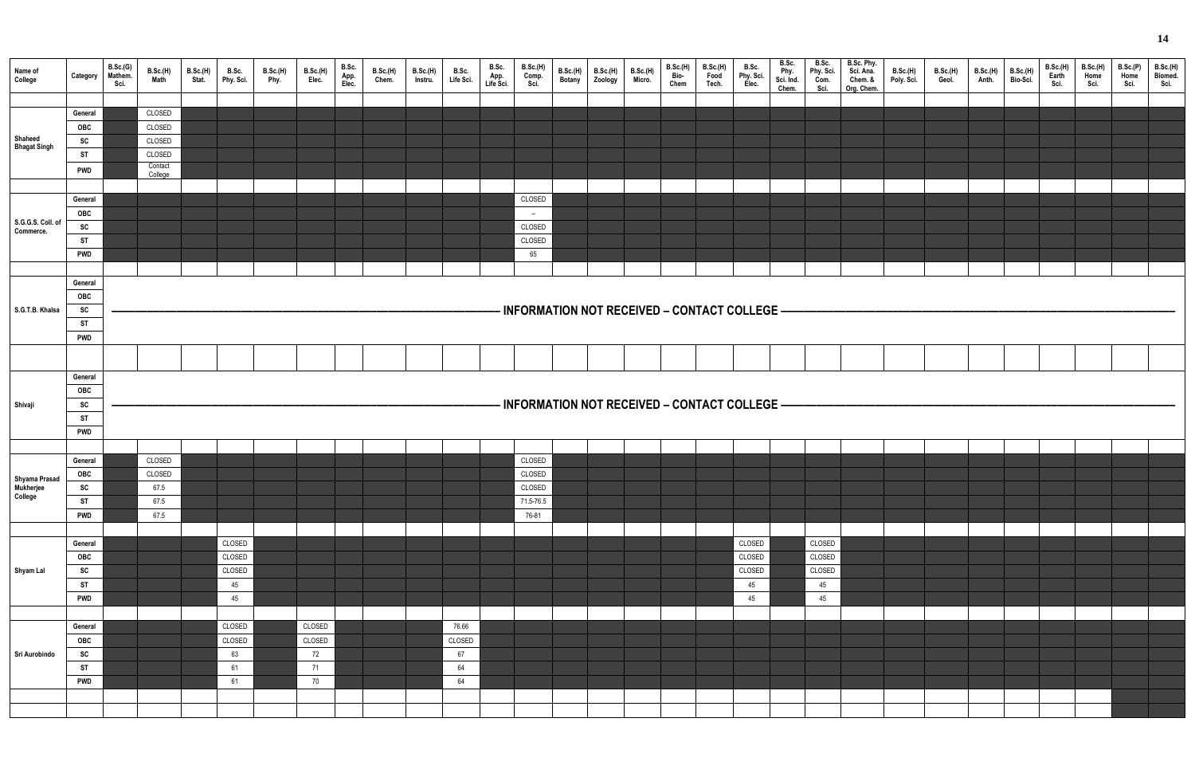| Name of<br>College                    | Category                                               | B.Sc.(G)<br>Mathem.<br>Sci. | <b>B.Sc.(H)</b><br><b>Math</b>                             | B.Sc.(H)<br>Stat. | B.Sc.<br>Phy. Sci.                     | B.Sc.(H)<br>Phy. | <b>B.Sc.(H)</b><br>Elec.           | B.Sc.<br>App.<br>Elec. | B.Sc.(H)<br>Chem. | <b>B.Sc.(H)</b><br>Instru. | B.Sc.<br>Life Sci.                | B.Sc.<br>App.<br>Life Sci. | <b>B.Sc.(H)</b><br>Comp.<br>Sci.                 | B.Sc.(H)<br><b>Botany</b> | B.Sc.(H)<br>Zoology | $\vert$ B.Sc.(H)<br>Micro. | B.Sc.(H)<br>Bio-<br>Chem | <b>B.Sc.(H)</b><br>Food<br>Tech. | B.Sc.<br>Phy. Sci.<br>Elec.            | B.Sc.<br>Phy.<br>Sci. Ind.<br>Chem. | B.Sc.<br>Phy. Sci.<br>Com.<br>Sci.     | B.Sc. Phy.<br>Sci. Ana.<br>Chem. &<br>Org. Chem. | B.Sc.(H)<br>Poly. Sci. | B.Sc.(H)<br>Geol. | B.Sc.(H)<br>Anth. | <b>B.Sc.(H)</b><br>Bio-Sci. | <b>B.Sc.(H)</b><br>Earth<br>Sci. | <b>B.Sc.(H)</b><br>Home<br>Sci. | B.Sc.(P)<br>Home<br>Sci. | B.Sc.(H<br><b>Biomed</b><br>Sci. |
|---------------------------------------|--------------------------------------------------------|-----------------------------|------------------------------------------------------------|-------------------|----------------------------------------|------------------|------------------------------------|------------------------|-------------------|----------------------------|-----------------------------------|----------------------------|--------------------------------------------------|---------------------------|---------------------|----------------------------|--------------------------|----------------------------------|----------------------------------------|-------------------------------------|----------------------------------------|--------------------------------------------------|------------------------|-------------------|-------------------|-----------------------------|----------------------------------|---------------------------------|--------------------------|----------------------------------|
| Shaheed<br><b>Bhagat Singh</b>        | General<br>OBC<br>SC<br>ST<br><b>PWD</b>               |                             | CLOSED<br>CLOSED<br>CLOSED<br>CLOSED<br>Contact<br>College |                   |                                        |                  |                                    |                        |                   |                            |                                   |                            |                                                  |                           |                     |                            |                          |                                  |                                        |                                     |                                        |                                                  |                        |                   |                   |                             |                                  |                                 |                          |                                  |
| S.G.G.S. Coll. of<br>Commerce.        | General<br>OBC<br>SC<br><b>ST</b><br><b>PWD</b>        |                             |                                                            |                   |                                        |                  |                                    |                        |                   |                            |                                   |                            | CLOSED<br>$-$<br>CLOSED<br>CLOSED<br>65          |                           |                     |                            |                          |                                  |                                        |                                     |                                        |                                                  |                        |                   |                   |                             |                                  |                                 |                          |                                  |
| S.G.T.B. Khalsa                       | General<br>OBC<br>SC<br><b>ST</b><br><b>PWD</b>        |                             |                                                            |                   |                                        |                  |                                    |                        |                   |                            |                                   |                            | - INFORMATION NOT RECEIVED - CONTACT COLLEGE -   |                           |                     |                            |                          |                                  |                                        |                                     |                                        |                                                  |                        |                   |                   |                             |                                  |                                 |                          |                                  |
|                                       | General<br>OBC                                         |                             |                                                            |                   |                                        |                  |                                    |                        |                   |                            |                                   |                            |                                                  |                           |                     |                            |                          |                                  |                                        |                                     |                                        |                                                  |                        |                   |                   |                             |                                  |                                 |                          |                                  |
| Shivaji                               | <b>SC</b><br><b>ST</b><br><b>PWD</b>                   |                             |                                                            |                   |                                        |                  |                                    |                        |                   |                            |                                   |                            | - INFORMATION NOT RECEIVED - CONTACT COLLEGE -   |                           |                     |                            |                          |                                  |                                        |                                     |                                        |                                                  |                        |                   |                   |                             |                                  |                                 |                          |                                  |
| Shyama Prasad<br>Mukherjee<br>College | General<br><b>OBC</b><br>SC<br><b>ST</b><br><b>PWD</b> |                             | CLOSED<br>CLOSED<br>67.5<br>67.5<br>67.5                   |                   |                                        |                  |                                    |                        |                   |                            |                                   |                            | CLOSED<br>CLOSED<br>CLOSED<br>71.5-76.5<br>76-81 |                           |                     |                            |                          |                                  |                                        |                                     |                                        |                                                  |                        |                   |                   |                             |                                  |                                 |                          |                                  |
| Shyam Lal                             | General<br>OBC<br>SC<br><b>ST</b><br><b>PWD</b>        |                             |                                                            |                   | CLOSED<br>CLOSED<br>CLOSED<br>45<br>45 |                  |                                    |                        |                   |                            |                                   |                            |                                                  |                           |                     |                            |                          |                                  | CLOSED<br>CLOSED<br>CLOSED<br>45<br>45 |                                     | CLOSED<br>CLOSED<br>CLOSED<br>45<br>45 |                                                  |                        |                   |                   |                             |                                  |                                 |                          |                                  |
| Sri Aurobindo                         | General<br>OBC<br>SC<br><b>ST</b><br><b>PWD</b>        |                             |                                                            |                   | CLOSED<br>CLOSED<br>63<br>61<br>61     |                  | CLOSED<br>CLOSED<br>72<br>71<br>70 |                        |                   |                            | 76.66<br>CLOSED<br>67<br>64<br>64 |                            |                                                  |                           |                     |                            |                          |                                  |                                        |                                     |                                        |                                                  |                        |                   |                   |                             |                                  |                                 |                          |                                  |

| B.Sc. Phy.<br>Sci. Ana.<br>Chem. &<br>Org. Chem. | B.Sc.(H)<br>Poly. Sci. | B.Sc.(H)<br>Geol. | B.Sc.(H)<br>Anth. | B.Sc.(H)<br>Bio-Sci. | B.Sc.(H)<br>Earth<br>Sci. | B.Sc.(H)<br>Home <sup>'</sup><br>Sci. | B.Sc.(P)<br>Home <sup>'</sup><br>Sci. | B.Sc.(H)<br>Biomed.<br>Sci. |
|--------------------------------------------------|------------------------|-------------------|-------------------|----------------------|---------------------------|---------------------------------------|---------------------------------------|-----------------------------|
|                                                  |                        |                   |                   |                      |                           |                                       |                                       |                             |
|                                                  |                        |                   |                   |                      |                           |                                       |                                       |                             |
|                                                  |                        |                   |                   |                      |                           |                                       |                                       |                             |
|                                                  |                        |                   |                   |                      |                           |                                       |                                       |                             |
|                                                  |                        |                   |                   |                      |                           |                                       |                                       |                             |
|                                                  |                        |                   |                   |                      |                           |                                       |                                       |                             |
|                                                  |                        |                   |                   |                      |                           |                                       |                                       |                             |
|                                                  |                        |                   |                   |                      |                           |                                       |                                       |                             |
|                                                  |                        |                   |                   |                      |                           |                                       |                                       |                             |
|                                                  |                        |                   |                   |                      |                           |                                       |                                       |                             |
|                                                  |                        |                   |                   |                      |                           |                                       |                                       |                             |
|                                                  |                        |                   |                   |                      |                           |                                       |                                       |                             |
|                                                  |                        |                   |                   |                      |                           |                                       |                                       |                             |
|                                                  |                        |                   |                   |                      |                           |                                       |                                       |                             |
|                                                  |                        |                   |                   |                      |                           |                                       |                                       |                             |
|                                                  |                        |                   |                   |                      |                           |                                       |                                       |                             |
|                                                  |                        |                   |                   |                      |                           |                                       |                                       |                             |
|                                                  |                        |                   |                   |                      |                           |                                       |                                       |                             |
|                                                  |                        |                   |                   |                      |                           |                                       |                                       |                             |
|                                                  |                        |                   |                   |                      |                           |                                       |                                       |                             |
|                                                  |                        |                   |                   |                      |                           |                                       |                                       |                             |
|                                                  |                        |                   |                   |                      |                           |                                       |                                       |                             |
|                                                  |                        |                   |                   |                      |                           |                                       |                                       |                             |
|                                                  |                        |                   |                   |                      |                           |                                       |                                       |                             |
|                                                  |                        |                   |                   |                      |                           |                                       |                                       |                             |
|                                                  |                        |                   |                   |                      |                           |                                       |                                       |                             |
|                                                  |                        |                   |                   |                      |                           |                                       |                                       |                             |
|                                                  |                        |                   |                   |                      |                           |                                       |                                       |                             |
|                                                  |                        |                   |                   |                      |                           |                                       |                                       |                             |
|                                                  |                        |                   |                   |                      |                           |                                       |                                       |                             |
|                                                  |                        |                   |                   |                      |                           |                                       |                                       |                             |
|                                                  |                        |                   |                   |                      |                           |                                       |                                       |                             |
|                                                  |                        |                   |                   |                      |                           |                                       |                                       |                             |
|                                                  |                        |                   |                   |                      |                           |                                       |                                       |                             |